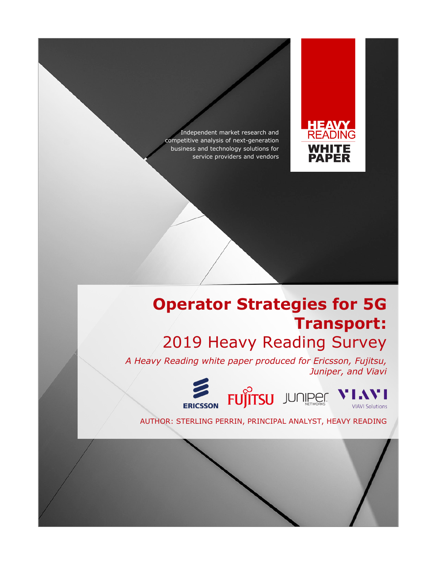Independent market research and competitive analysis of next-generation business and technology solutions for service providers and vendors



# **Operator Strategies for 5G Transport:** 2019 Heavy Reading Survey

*A Heavy Reading white paper produced for Ericsson, Fujitsu, Juniper, and Viavi*





AUTHOR: STERLING PERRIN, PRINCIPAL ANALYST, HEAVY READING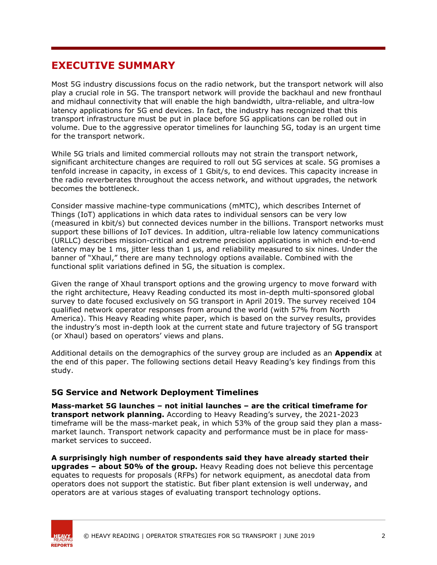# **EXECUTIVE SUMMARY**

Most 5G industry discussions focus on the radio network, but the transport network will also play a crucial role in 5G. The transport network will provide the backhaul and new fronthaul and midhaul connectivity that will enable the high bandwidth, ultra-reliable, and ultra-low latency applications for 5G end devices. In fact, the industry has recognized that this transport infrastructure must be put in place before 5G applications can be rolled out in volume. Due to the aggressive operator timelines for launching 5G, today is an urgent time for the transport network.

While 5G trials and limited commercial rollouts may not strain the transport network, significant architecture changes are required to roll out 5G services at scale. 5G promises a tenfold increase in capacity, in excess of 1 Gbit/s, to end devices. This capacity increase in the radio reverberates throughout the access network, and without upgrades, the network becomes the bottleneck.

Consider massive machine-type communications (mMTC), which describes Internet of Things (IoT) applications in which data rates to individual sensors can be very low (measured in kbit/s) but connected devices number in the billions. Transport networks must support these billions of IoT devices. In addition, ultra-reliable low latency communications (URLLC) describes mission-critical and extreme precision applications in which end-to-end latency may be 1 ms, jitter less than 1 μs, and reliability measured to six nines. Under the banner of "Xhaul," there are many technology options available. Combined with the functional split variations defined in 5G, the situation is complex.

Given the range of Xhaul transport options and the growing urgency to move forward with the right architecture, Heavy Reading conducted its most in-depth multi-sponsored global survey to date focused exclusively on 5G transport in April 2019. The survey received 104 qualified network operator responses from around the world (with 57% from North America). This Heavy Reading white paper, which is based on the survey results, provides the industry's most in-depth look at the current state and future trajectory of 5G transport (or Xhaul) based on operators' views and plans.

Additional details on the demographics of the survey group are included as an **Appendix** at the end of this paper. The following sections detail Heavy Reading's key findings from this study.

### **5G Service and Network Deployment Timelines**

**Mass-market 5G launches – not initial launches – are the critical timeframe for transport network planning.** According to Heavy Reading's survey, the 2021-2023 timeframe will be the mass-market peak, in which 53% of the group said they plan a massmarket launch. Transport network capacity and performance must be in place for massmarket services to succeed.

**A surprisingly high number of respondents said they have already started their upgrades – about 50% of the group.** Heavy Reading does not believe this percentage equates to requests for proposals (RFPs) for network equipment, as anecdotal data from operators does not support the statistic. But fiber plant extension is well underway, and operators are at various stages of evaluating transport technology options.

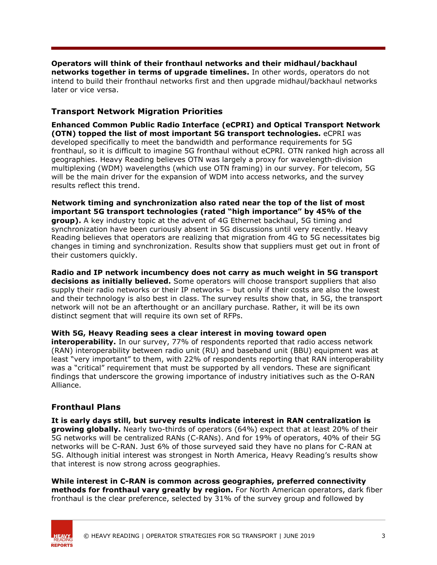**Operators will think of their fronthaul networks and their midhaul/backhaul networks together in terms of upgrade timelines.** In other words, operators do not intend to build their fronthaul networks first and then upgrade midhaul/backhaul networks later or vice versa.

### **Transport Network Migration Priorities**

**Enhanced Common Public Radio Interface (eCPRI) and Optical Transport Network (OTN) topped the list of most important 5G transport technologies.** eCPRI was developed specifically to meet the bandwidth and performance requirements for 5G fronthaul, so it is difficult to imagine 5G fronthaul without eCPRI. OTN ranked high across all geographies. Heavy Reading believes OTN was largely a proxy for wavelength-division multiplexing (WDM) wavelengths (which use OTN framing) in our survey. For telecom, 5G will be the main driver for the expansion of WDM into access networks, and the survey results reflect this trend.

**Network timing and synchronization also rated near the top of the list of most important 5G transport technologies (rated "high importance" by 45% of the group).** A key industry topic at the advent of 4G Ethernet backhaul, 5G timing and synchronization have been curiously absent in 5G discussions until very recently. Heavy Reading believes that operators are realizing that migration from 4G to 5G necessitates big changes in timing and synchronization. Results show that suppliers must get out in front of their customers quickly.

**Radio and IP network incumbency does not carry as much weight in 5G transport decisions as initially believed.** Some operators will choose transport suppliers that also supply their radio networks or their IP networks – but only if their costs are also the lowest and their technology is also best in class. The survey results show that, in 5G, the transport network will not be an afterthought or an ancillary purchase. Rather, it will be its own distinct segment that will require its own set of RFPs.

#### **With 5G, Heavy Reading sees a clear interest in moving toward open**

**interoperability.** In our survey, 77% of respondents reported that radio access network (RAN) interoperability between radio unit (RU) and baseband unit (BBU) equipment was at least "very important" to them, with 22% of respondents reporting that RAN interoperability was a "critical" requirement that must be supported by all vendors. These are significant findings that underscore the growing importance of industry initiatives such as the O-RAN Alliance.

#### **Fronthaul Plans**

**It is early days still, but survey results indicate interest in RAN centralization is growing globally.** Nearly two-thirds of operators (64%) expect that at least 20% of their 5G networks will be centralized RANs (C-RANs). And for 19% of operators, 40% of their 5G networks will be C-RAN. Just 6% of those surveyed said they have no plans for C-RAN at 5G. Although initial interest was strongest in North America, Heavy Reading's results show that interest is now strong across geographies.

**While interest in C-RAN is common across geographies, preferred connectivity methods for fronthaul vary greatly by region.** For North American operators, dark fiber fronthaul is the clear preference, selected by 31% of the survey group and followed by

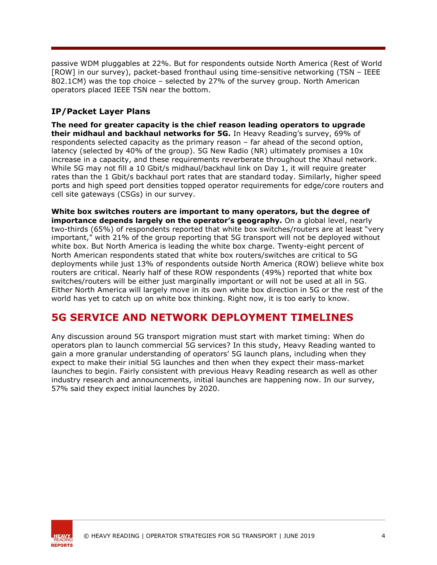passive WDM pluggables at 22%. But for respondents outside North America (Rest of World [ROW] in our survey), packet-based fronthaul using time-sensitive networking (TSN – IEEE 802.1CM) was the top choice – selected by 27% of the survey group. North American operators placed IEEE TSN near the bottom.

### **IP/Packet Layer Plans**

**The need for greater capacity is the chief reason leading operators to upgrade their midhaul and backhaul networks for 5G.** In Heavy Reading's survey, 69% of respondents selected capacity as the primary reason – far ahead of the second option, latency (selected by 40% of the group). 5G New Radio (NR) ultimately promises a 10x increase in a capacity, and these requirements reverberate throughout the Xhaul network. While 5G may not fill a 10 Gbit/s midhaul/backhaul link on Day 1, it will require greater rates than the 1 Gbit/s backhaul port rates that are standard today. Similarly, higher speed ports and high speed port densities topped operator requirements for edge/core routers and cell site gateways (CSGs) in our survey.

**White box switches routers are important to many operators, but the degree of importance depends largely on the operator's geography.** On a global level, nearly two-thirds (65%) of respondents reported that white box switches/routers are at least "very important," with 21% of the group reporting that 5G transport will not be deployed without white box. But North America is leading the white box charge. Twenty-eight percent of North American respondents stated that white box routers/switches are critical to 5G deployments while just 13% of respondents outside North America (ROW) believe white box routers are critical. Nearly half of these ROW respondents (49%) reported that white box switches/routers will be either just marginally important or will not be used at all in 5G. Either North America will largely move in its own white box direction in 5G or the rest of the world has yet to catch up on white box thinking. Right now, it is too early to know.

# **5G SERVICE AND NETWORK DEPLOYMENT TIMELINES**

Any discussion around 5G transport migration must start with market timing: When do operators plan to launch commercial 5G services? In this study, Heavy Reading wanted to gain a more granular understanding of operators' 5G launch plans, including when they expect to make their initial 5G launches and then when they expect their mass-market launches to begin. Fairly consistent with previous Heavy Reading research as well as other industry research and announcements, initial launches are happening now. In our survey, 57% said they expect initial launches by 2020.

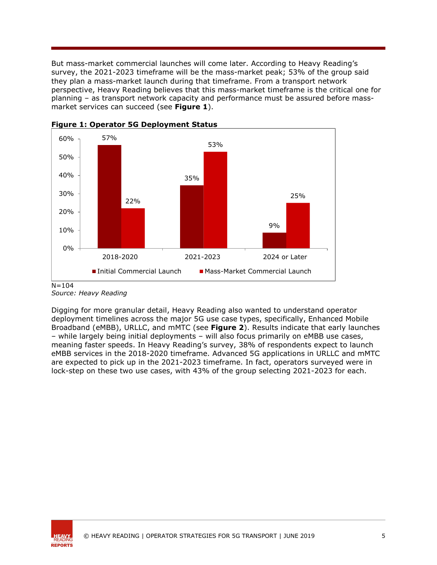But mass-market commercial launches will come later. According to Heavy Reading's survey, the 2021-2023 timeframe will be the mass-market peak; 53% of the group said they plan a mass-market launch during that timeframe. From a transport network perspective, Heavy Reading believes that this mass-market timeframe is the critical one for planning – as transport network capacity and performance must be assured before massmarket services can succeed (see **Figure 1**).



**Figure 1: Operator 5G Deployment Status**

## $N = 104$

*Source: Heavy Reading* 

Digging for more granular detail, Heavy Reading also wanted to understand operator deployment timelines across the major 5G use case types, specifically, Enhanced Mobile Broadband (eMBB), URLLC, and mMTC (see **Figure 2**). Results indicate that early launches – while largely being initial deployments – will also focus primarily on eMBB use cases, meaning faster speeds. In Heavy Reading's survey, 38% of respondents expect to launch eMBB services in the 2018-2020 timeframe. Advanced 5G applications in URLLC and mMTC are expected to pick up in the 2021-2023 timeframe. In fact, operators surveyed were in lock-step on these two use cases, with 43% of the group selecting 2021-2023 for each.

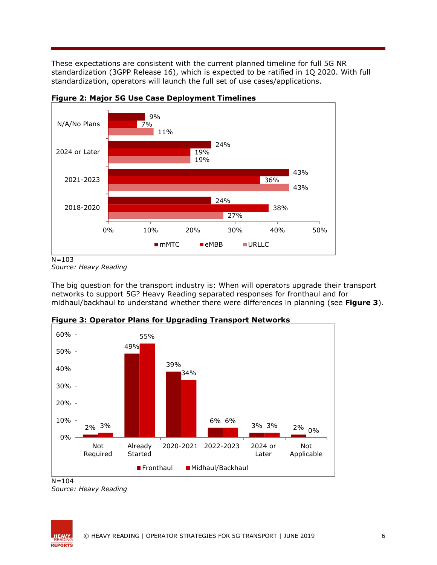These expectations are consistent with the current planned timeline for full 5G NR standardization (3GPP Release 16), which is expected to be ratified in 1Q 2020. With full standardization, operators will launch the full set of use cases/applications.



**Figure 2: Major 5G Use Case Deployment Timelines**

The big question for the transport industry is: When will operators upgrade their transport networks to support 5G? Heavy Reading separated responses for fronthaul and for midhaul/backhaul to understand whether there were differences in planning (see **Figure 3**).



**Figure 3: Operator Plans for Upgrading Transport Networks**

 $N=103$ *Source: Heavy Reading* 

 $N = 104$ *Source: Heavy Reading*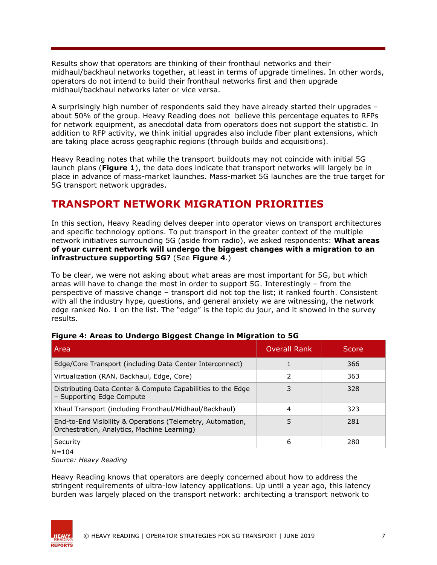Results show that operators are thinking of their fronthaul networks and their midhaul/backhaul networks together, at least in terms of upgrade timelines. In other words, operators do not intend to build their fronthaul networks first and then upgrade midhaul/backhaul networks later or vice versa.

A surprisingly high number of respondents said they have already started their upgrades – about 50% of the group. Heavy Reading does not believe this percentage equates to RFPs for network equipment, as anecdotal data from operators does not support the statistic. In addition to RFP activity, we think initial upgrades also include fiber plant extensions, which are taking place across geographic regions (through builds and acquisitions).

Heavy Reading notes that while the transport buildouts may not coincide with initial 5G launch plans (**Figure 1**), the data does indicate that transport networks will largely be in place in advance of mass-market launches. Mass-market 5G launches are the true target for 5G transport network upgrades.

# **TRANSPORT NETWORK MIGRATION PRIORITIES**

In this section, Heavy Reading delves deeper into operator views on transport architectures and specific technology options. To put transport in the greater context of the multiple network initiatives surrounding 5G (aside from radio), we asked respondents: **What areas of your current network will undergo the biggest changes with a migration to an infrastructure supporting 5G?** (See **Figure 4**.)

To be clear, we were not asking about what areas are most important for 5G, but which areas will have to change the most in order to support 5G. Interestingly – from the perspective of massive change – transport did not top the list; it ranked fourth. Consistent with all the industry hype, questions, and general anxiety we are witnessing, the network edge ranked No. 1 on the list. The "edge" is the topic du jour, and it showed in the survey results.

| Area                                                                                                      | <b>Overall Rank</b> | Score |
|-----------------------------------------------------------------------------------------------------------|---------------------|-------|
| Edge/Core Transport (including Data Center Interconnect)                                                  |                     | 366   |
| Virtualization (RAN, Backhaul, Edge, Core)                                                                |                     | 363   |
| Distributing Data Center & Compute Capabilities to the Edge<br>- Supporting Edge Compute                  |                     | 328   |
| Xhaul Transport (including Fronthaul/Midhaul/Backhaul)                                                    | 4                   | 323   |
| End-to-End Visibility & Operations (Telemetry, Automation,<br>Orchestration, Analytics, Machine Learning) | 5                   | 281   |
| Security                                                                                                  | 6                   | 280   |

#### **Figure 4: Areas to Undergo Biggest Change in Migration to 5G**

 $N = 104$ *Source: Heavy Reading* 

Heavy Reading knows that operators are deeply concerned about how to address the stringent requirements of ultra-low latency applications. Up until a year ago, this latency burden was largely placed on the transport network: architecting a transport network to

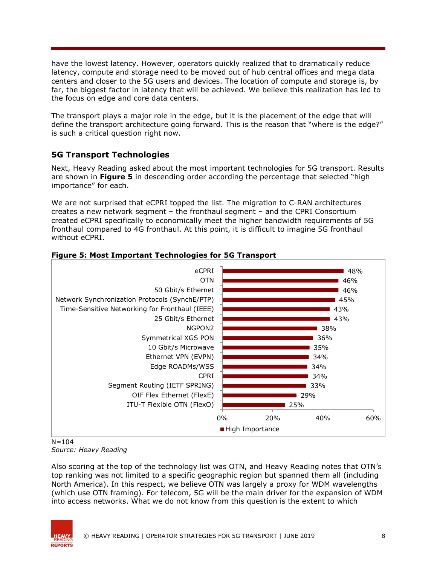have the lowest latency. However, operators quickly realized that to dramatically reduce latency, compute and storage need to be moved out of hub central offices and mega data centers and closer to the 5G users and devices. The location of compute and storage is, by far, the biggest factor in latency that will be achieved. We believe this realization has led to the focus on edge and core data centers.

The transport plays a major role in the edge, but it is the placement of the edge that will define the transport architecture going forward. This is the reason that "where is the edge?" is such a critical question right now.

### **5G Transport Technologies**

Next, Heavy Reading asked about the most important technologies for 5G transport. Results are shown in **Figure 5** in descending order according the percentage that selected "high importance" for each.

We are not surprised that eCPRI topped the list. The migration to C-RAN architectures creates a new network segment – the fronthaul segment – and the CPRI Consortium created eCPRI specifically to economically meet the higher bandwidth requirements of 5G fronthaul compared to 4G fronthaul. At this point, it is difficult to imagine 5G fronthaul without eCPRI.



#### **Figure 5: Most Important Technologies for 5G Transport**

 $N = 104$ *Source: Heavy Reading* 

Also scoring at the top of the technology list was OTN, and Heavy Reading notes that OTN's top ranking was not limited to a specific geographic region but spanned them all (including North America). In this respect, we believe OTN was largely a proxy for WDM wavelengths (which use OTN framing). For telecom, 5G will be the main driver for the expansion of WDM into access networks. What we do not know from this question is the extent to which

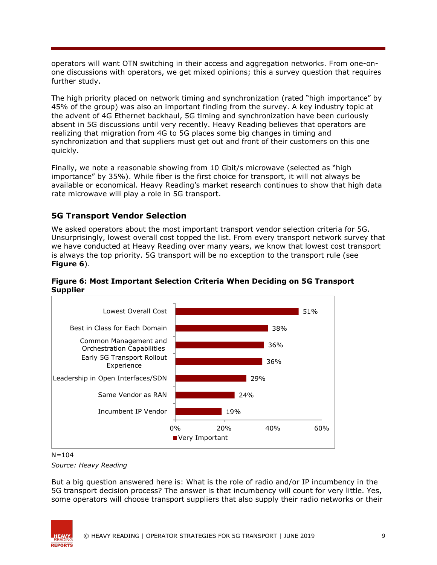operators will want OTN switching in their access and aggregation networks. From one-onone discussions with operators, we get mixed opinions; this a survey question that requires further study.

The high priority placed on network timing and synchronization (rated "high importance" by 45% of the group) was also an important finding from the survey. A key industry topic at the advent of 4G Ethernet backhaul, 5G timing and synchronization have been curiously absent in 5G discussions until very recently. Heavy Reading believes that operators are realizing that migration from 4G to 5G places some big changes in timing and synchronization and that suppliers must get out and front of their customers on this one quickly.

Finally, we note a reasonable showing from 10 Gbit/s microwave (selected as "high importance" by 35%). While fiber is the first choice for transport, it will not always be available or economical. Heavy Reading's market research continues to show that high data rate microwave will play a role in 5G transport.

### **5G Transport Vendor Selection**

We asked operators about the most important transport vendor selection criteria for 5G. Unsurprisingly, lowest overall cost topped the list. From every transport network survey that we have conducted at Heavy Reading over many years, we know that lowest cost transport is always the top priority. 5G transport will be no exception to the transport rule (see **Figure 6**).



#### **Figure 6: Most Important Selection Criteria When Deciding on 5G Transport Supplier**

# $N = 104$

*Source: Heavy Reading* 

But a big question answered here is: What is the role of radio and/or IP incumbency in the 5G transport decision process? The answer is that incumbency will count for very little. Yes, some operators will choose transport suppliers that also supply their radio networks or their

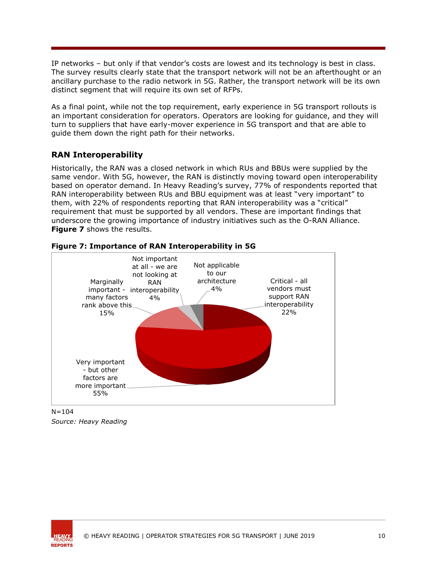IP networks – but only if that vendor's costs are lowest and its technology is best in class. The survey results clearly state that the transport network will not be an afterthought or an ancillary purchase to the radio network in 5G. Rather, the transport network will be its own distinct segment that will require its own set of RFPs.

As a final point, while not the top requirement, early experience in 5G transport rollouts is an important consideration for operators. Operators are looking for guidance, and they will turn to suppliers that have early-mover experience in 5G transport and that are able to guide them down the right path for their networks.

### **RAN Interoperability**

Historically, the RAN was a closed network in which RUs and BBUs were supplied by the same vendor. With 5G, however, the RAN is distinctly moving toward open interoperability based on operator demand. In Heavy Reading's survey, 77% of respondents reported that RAN interoperability between RUs and BBU equipment was at least "very important" to them, with 22% of respondents reporting that RAN interoperability was a "critical" requirement that must be supported by all vendors. These are important findings that underscore the growing importance of industry initiatives such as the O-RAN Alliance. **Figure 7** shows the results.







 $N = 104$ *Source: Heavy Reading*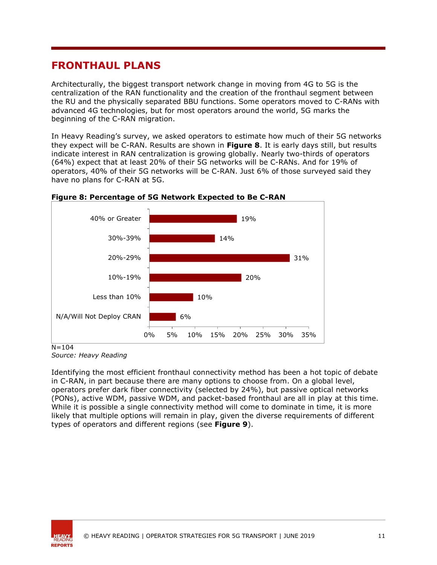# **FRONTHAUL PLANS**

Architecturally, the biggest transport network change in moving from 4G to 5G is the centralization of the RAN functionality and the creation of the fronthaul segment between the RU and the physically separated BBU functions. Some operators moved to C-RANs with advanced 4G technologies, but for most operators around the world, 5G marks the beginning of the C-RAN migration.

In Heavy Reading's survey, we asked operators to estimate how much of their 5G networks they expect will be C-RAN. Results are shown in **Figure 8**. It is early days still, but results indicate interest in RAN centralization is growing globally. Nearly two-thirds of operators (64%) expect that at least 20% of their 5G networks will be C-RANs. And for 19% of operators, 40% of their 5G networks will be C-RAN. Just 6% of those surveyed said they have no plans for C-RAN at 5G.



#### **Figure 8: Percentage of 5G Network Expected to Be C-RAN**

 $N = 104$ 

*Source: Heavy Reading* 

Identifying the most efficient fronthaul connectivity method has been a hot topic of debate in C-RAN, in part because there are many options to choose from. On a global level, operators prefer dark fiber connectivity (selected by 24%), but passive optical networks (PONs), active WDM, passive WDM, and packet-based fronthaul are all in play at this time. While it is possible a single connectivity method will come to dominate in time, it is more likely that multiple options will remain in play, given the diverse requirements of different types of operators and different regions (see **Figure 9**).

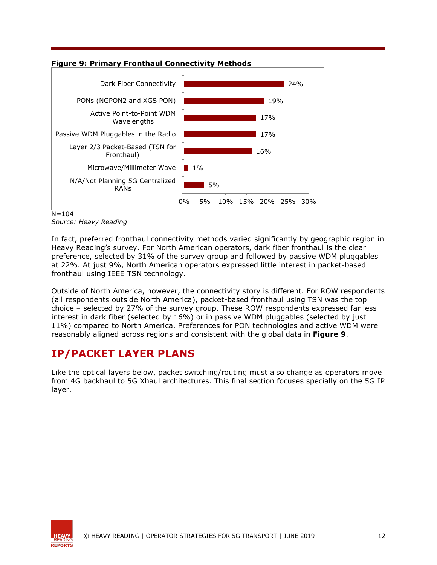



 $N=104$ *Source: Heavy Reading* 

In fact, preferred fronthaul connectivity methods varied significantly by geographic region in Heavy Reading's survey. For North American operators, dark fiber fronthaul is the clear preference, selected by 31% of the survey group and followed by passive WDM pluggables at 22%. At just 9%, North American operators expressed little interest in packet-based fronthaul using IEEE TSN technology.

Outside of North America, however, the connectivity story is different. For ROW respondents (all respondents outside North America), packet-based fronthaul using TSN was the top choice – selected by 27% of the survey group. These ROW respondents expressed far less interest in dark fiber (selected by 16%) or in passive WDM pluggables (selected by just 11%) compared to North America. Preferences for PON technologies and active WDM were reasonably aligned across regions and consistent with the global data in **Figure 9**.

# **IP/PACKET LAYER PLANS**

Like the optical layers below, packet switching/routing must also change as operators move from 4G backhaul to 5G Xhaul architectures. This final section focuses specially on the 5G IP layer.

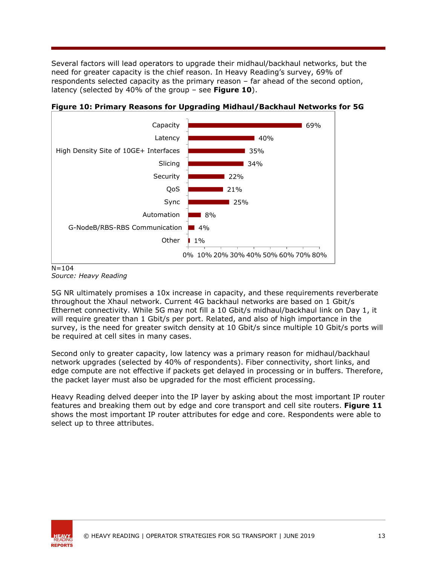Several factors will lead operators to upgrade their midhaul/backhaul networks, but the need for greater capacity is the chief reason. In Heavy Reading's survey, 69% of respondents selected capacity as the primary reason – far ahead of the second option, latency (selected by 40% of the group – see **Figure 10**).



**Figure 10: Primary Reasons for Upgrading Midhaul/Backhaul Networks for 5G**



*Source: Heavy Reading* 

5G NR ultimately promises a 10x increase in capacity, and these requirements reverberate throughout the Xhaul network. Current 4G backhaul networks are based on 1 Gbit/s Ethernet connectivity. While 5G may not fill a 10 Gbit/s midhaul/backhaul link on Day 1, it will require greater than 1 Gbit/s per port. Related, and also of high importance in the survey, is the need for greater switch density at 10 Gbit/s since multiple 10 Gbit/s ports will be required at cell sites in many cases.

Second only to greater capacity, low latency was a primary reason for midhaul/backhaul network upgrades (selected by 40% of respondents). Fiber connectivity, short links, and edge compute are not effective if packets get delayed in processing or in buffers. Therefore, the packet layer must also be upgraded for the most efficient processing.

Heavy Reading delved deeper into the IP layer by asking about the most important IP router features and breaking them out by edge and core transport and cell site routers. **Figure 11** shows the most important IP router attributes for edge and core. Respondents were able to select up to three attributes.

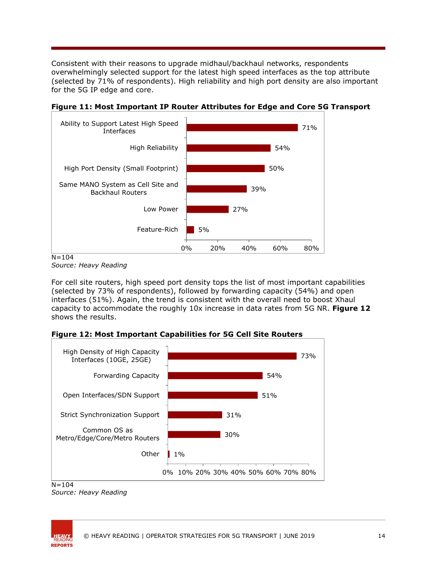Consistent with their reasons to upgrade midhaul/backhaul networks, respondents overwhelmingly selected support for the latest high speed interfaces as the top attribute (selected by 71% of respondents). High reliability and high port density are also important for the 5G IP edge and core.



**Figure 11: Most Important IP Router Attributes for Edge and Core 5G Transport**

 $N = 104$ 

*Source: Heavy Reading* 

For cell site routers, high speed port density tops the list of most important capabilities (selected by 73% of respondents), followed by forwarding capacity (54%) and open interfaces (51%). Again, the trend is consistent with the overall need to boost Xhaul capacity to accommodate the roughly 10x increase in data rates from 5G NR. **Figure 12** shows the results.

**Figure 12: Most Important Capabilities for 5G Cell Site Routers** 



*Source: Heavy Reading* 

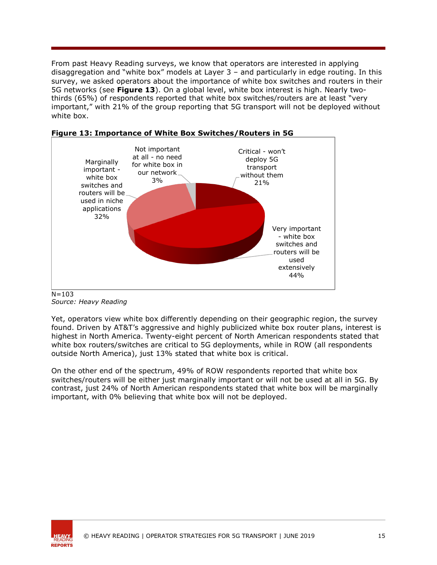From past Heavy Reading surveys, we know that operators are interested in applying disaggregation and "white box" models at Layer 3 – and particularly in edge routing. In this survey, we asked operators about the importance of white box switches and routers in their 5G networks (see **Figure 13**). On a global level, white box interest is high. Nearly twothirds (65%) of respondents reported that white box switches/routers are at least "very important," with 21% of the group reporting that 5G transport will not be deployed without white box.





 $N = 103$ *Source: Heavy Reading* 

Yet, operators view white box differently depending on their geographic region, the survey found. Driven by AT&T's aggressive and highly publicized white box router plans, interest is highest in North America. Twenty-eight percent of North American respondents stated that white box routers/switches are critical to 5G deployments, while in ROW (all respondents outside North America), just 13% stated that white box is critical.

On the other end of the spectrum, 49% of ROW respondents reported that white box switches/routers will be either just marginally important or will not be used at all in 5G. By contrast, just 24% of North American respondents stated that white box will be marginally important, with 0% believing that white box will not be deployed.

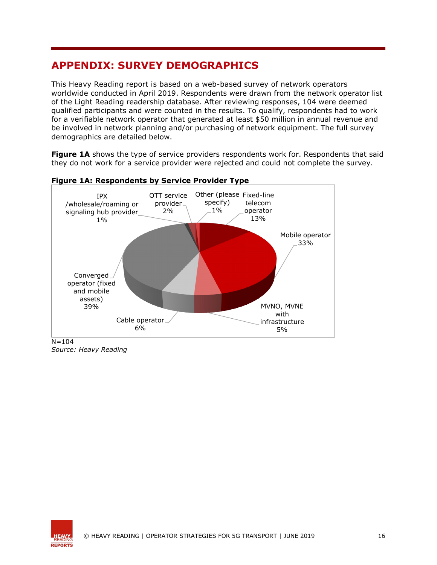# **APPENDIX: SURVEY DEMOGRAPHICS**

This Heavy Reading report is based on a web-based survey of network operators worldwide conducted in April 2019. Respondents were drawn from the network operator list of the Light Reading readership database. After reviewing responses, 104 were deemed qualified participants and were counted in the results. To qualify, respondents had to work for a verifiable network operator that generated at least \$50 million in annual revenue and be involved in network planning and/or purchasing of network equipment. The full survey demographics are detailed below.

**Figure 1A** shows the type of service providers respondents work for. Respondents that said they do not work for a service provider were rejected and could not complete the survey.



#### **Figure 1A: Respondents by Service Provider Type**

*Source: Heavy Reading* 

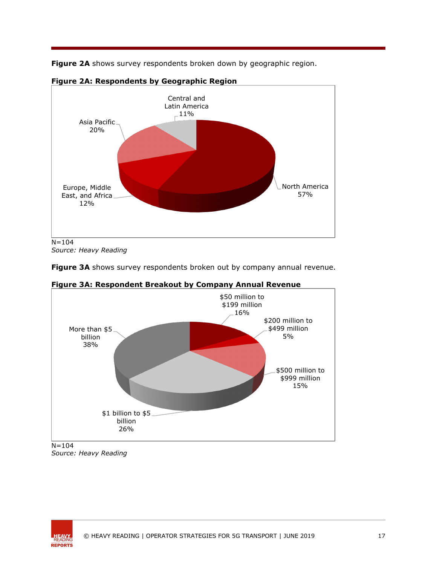**Figure 2A** shows survey respondents broken down by geographic region.



#### **Figure 2A: Respondents by Geographic Region**

 $N=104$ *Source: Heavy Reading* 

Figure 3A shows survey respondents broken out by company annual revenue.



**Figure 3A: Respondent Breakout by Company Annual Revenue**



 $N=104$ *Source: Heavy Reading*